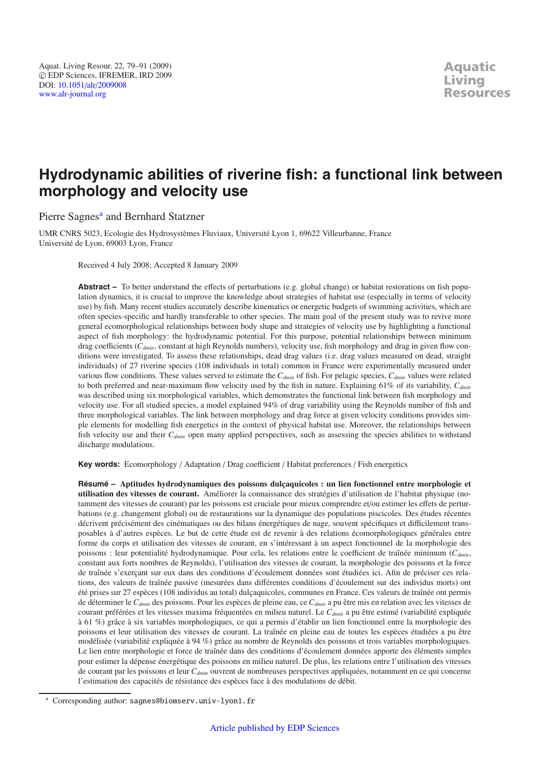# **Hydrodynamic abilities of riverine fish: a functional link between morphology and velocity use**

Pierre Sagnes<sup>a</sup> and Bernhard Statzner

UMR CNRS 5023, Ecologie des Hydrosystèmes Fluviaux, Université Lyon 1, 69622 Villeurbanne, France Université de Lyon, 69003 Lyon, France

Received 4 July 2008; Accepted 8 January 2009

**Abstract –** To better understand the effects of perturbations (e.g. global change) or habitat restorations on fish population dynamics, it is crucial to improve the knowledge about strategies of habitat use (especially in terms of velocity use) by fish. Many recent studies accurately describe kinematics or energetic budgets of swimming activities, which are often species-specific and hardly transferable to other species. The main goal of the present study was to revive more general ecomorphological relationships between body shape and strategies of velocity use by highlighting a functional aspect of fish morphology: the hydrodynamic potential. For this purpose, potential relationships between minimum drag coefficients (*C<sub>dmin</sub>*, constant at high Reynolds numbers), velocity use, fish morphology and drag in given flow conditions were investigated. To assess these relationships, dead drag values (i.e. drag values measured on dead, straight individuals) of 27 riverine species (108 individuals in total) common in France were experimentally measured under various flow conditions. These values served to estimate the  $C_{dmin}$  of fish. For pelagic species,  $C_{dmin}$  values were related to both preferred and near-maximum flow velocity used by the fish in nature. Explaining 61% of its variability, *Cdmin* was described using six morphological variables, which demonstrates the functional link between fish morphology and velocity use. For all studied species, a model explained 94% of drag variability using the Reynolds number of fish and three morphological variables. The link between morphology and drag force at given velocity conditions provides simple elements for modelling fish energetics in the context of physical habitat use. Moreover, the relationships between fish velocity use and their *Cdmin* open many applied perspectives, such as assessing the species abilities to withstand discharge modulations.

**Key words:** Ecomorphology / Adaptation / Drag coefficient / Habitat preferences / Fish energetics

**Résumé – Aptitudes hydrodynamiques des poissons dulçaquicoles : un lien fonctionnel entre morphologie et utilisation des vitesses de courant.** Améliorer la connaissance des stratégies d'utilisation de l'habitat physique (notamment des vitesses de courant) par les poissons est cruciale pour mieux comprendre et/ou estimer les effets de perturbations (e.g. changement global) ou de restaurations sur la dynamique des populations piscicoles. Des études récentes décrivent précisément des cinématiques ou des bilans énergétiques de nage, souvent spécifiques et difficilement transposables à d'autres espèces. Le but de cette étude est de revenir à des relations écomorphologiques générales entre forme du corps et utilisation des vitesses de courant, en s'intéressant à un aspect fonctionnel de la morphologie des poissons : leur potentialité hydrodynamique. Pour cela, les relations entre le coefficient de traînée minimum (*Cdmin*, constant aux forts nombres de Reynolds), l'utilisation des vitesses de courant, la morphologie des poissons et la force de traînée s'exerçant sur eux dans des conditions d'écoulement données sont étudiées ici. Afin de préciser ces relations, des valeurs de traînée passive (mesurées dans différentes conditions d'écoulement sur des individus morts) ont été prises sur 27 espèces (108 individus au total) dulçaquicoles, communes en France. Ces valeurs de traînée ont permis de déterminer le C<sub>dmin</sub> des poissons. Pour les espèces de pleine eau, ce C<sub>dmin</sub> a pu être mis en relation avec les vitesses de courant préférées et les vitesses maxima fréquentées en milieu naturel. Le *Cdmin* a pu être estimé (variabilité expliquée à 61 %) grâce à six variables morphologiques, ce qui a permis d'établir un lien fonctionnel entre la morphologie des poissons et leur utilisation des vitesses de courant. La traînée en pleine eau de toutes les espèces étudiées a pu être modélisée (variabilité expliquée à 94 %) grâce au nombre de Reynolds des poissons et trois variables morphologiques. Le lien entre morphologie et force de traînée dans des conditions d'écoulement données apporte des éléments simples pour estimer la dépense énergétique des poissons en milieu naturel. De plus, les relations entre l'utilisation des vitesses de courant par les poissons et leur *Cdmin* ouvrent de nombreuses perspectives appliquées, notamment en ce qui concerne l'estimation des capacités de résistance des espèces face à des modulations de débit.

<sup>a</sup> Corresponding author: sagnes@biomserv.univ-lyon1.fr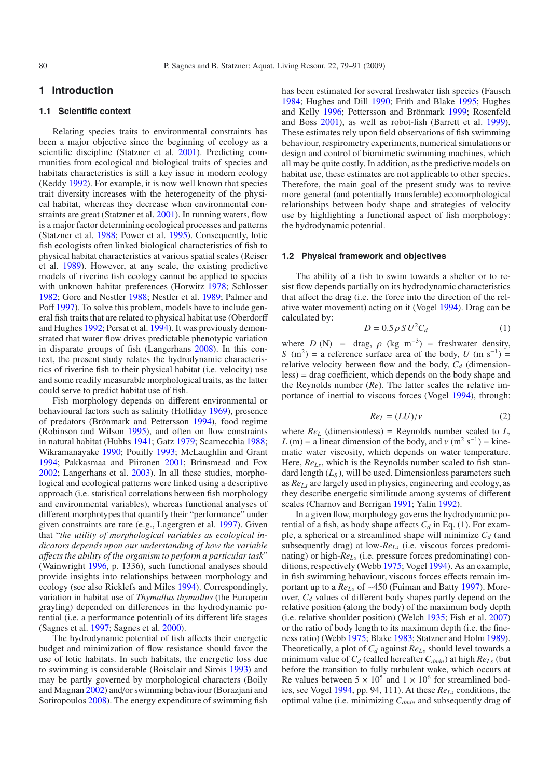## **1 Introduction**

#### **1.1 Scientific context**

Relating species traits to environmental constraints has been a major objective since the beginning of ecology as a scientific discipline (Statzner et al. [2001\)](#page-12-0). Predicting communities from ecological and biological traits of species and habitats characteristics is still a key issue in modern ecology (Keddy [1992](#page-10-0)). For example, it is now well known that species trait diversity increases with the heterogeneity of the physical habitat, whereas they decrease when environmental constraints are great (Statzner et al. [2001\)](#page-12-0). In running waters, flow is a major factor determining ecological processes and patterns (Statzner et al. [1988;](#page-12-1) Power et al. [1995\)](#page-11-0). Consequently, lotic fish ecologists often linked biological characteristics of fish to physical habitat characteristics at various spatial scales (Reiser et al. [1989\)](#page-11-1). However, at any scale, the existing predictive models of riverine fish ecology cannot be applied to species with unknown habitat preferences (Horwitz [1978;](#page-10-1) Schlosser [1982](#page-11-2); Gore and Nestler [1988](#page-10-2); Nestler et al. [1989;](#page-11-3) Palmer and Poff [1997\)](#page-11-4). To solve this problem, models have to include general fish traits that are related to physical habitat use (Oberdorff and Hughes [1992;](#page-11-5) Persat et al. [1994](#page-11-6)). It was previously demonstrated that water flow drives predictable phenotypic variation in disparate groups of fish (Langerhans [2008\)](#page-11-7). In this context, the present study relates the hydrodynamic characteristics of riverine fish to their physical habitat (i.e. velocity) use and some readily measurable morphological traits, as the latter could serve to predict habitat use of fish.

Fish morphology depends on different environmental or behavioural factors such as salinity (Holliday [1969](#page-10-3)), presence of predators (Brönmark and Pettersson [1994\)](#page-10-4), food regime (Robinson and Wilson [1995\)](#page-11-8), and often on flow constraints in natural habitat (Hubbs [1941](#page-10-5); Gatz [1979;](#page-10-6) Scarnecchia [1988;](#page-11-9) Wikramanayake [1990;](#page-12-2) Pouilly [1993](#page-11-10); McLaughlin and Grant [1994](#page-11-11); Pakkasmaa and Piironen [2001](#page-11-12); Brinsmead and Fox [2002](#page-10-7); Langerhans et al. [2003\)](#page-11-13). In all these studies, morphological and ecological patterns were linked using a descriptive approach (i.e. statistical correlations between fish morphology and environmental variables), whereas functional analyses of different morphotypes that quantify their "performance" under given constraints are rare (e.g., Lagergren et al. [1997\)](#page-10-8). Given that "*the utility of morphological variables as ecological indicators depends upon our understanding of how the variable a*ff*ects the ability of the organism to perform a particular task*" (Wainwright [1996,](#page-12-3) p. 1336), such functional analyses should provide insights into relationships between morphology and ecology (see also Ricklefs and Miles [1994](#page-11-14)). Correspondingly, variation in habitat use of *Thymallus thymallus* (the European grayling) depended on differences in the hydrodynamic potential (i.e. a performance potential) of its different life stages (Sagnes et al. [1997;](#page-11-15) Sagnes et al. [2000\)](#page-11-16).

The hydrodynamic potential of fish affects their energetic budget and minimization of flow resistance should favor the use of lotic habitats. In such habitats, the energetic loss due to swimming is considerable (Boisclair and Sirois [1993\)](#page-10-9) and may be partly governed by morphological characters (Boily and Magnan [2002\)](#page-10-10) and/or swimming behaviour (Borazjani and Sotiropoulos [2008\)](#page-10-11). The energy expenditure of swimming fish has been estimated for several freshwater fish species (Fausch [1984;](#page-10-12) Hughes and Dill [1990;](#page-10-13) Frith and Blake [1995;](#page-10-14) Hughes and Kelly [1996;](#page-10-15) Pettersson and Brönmark [1999;](#page-11-17) Rosenfeld and Boss [2001\)](#page-11-18), as well as robot-fish (Barrett et al. [1999\)](#page-9-0). These estimates rely upon field observations of fish swimming behaviour, respirometry experiments, numerical simulations or design and control of biomimetic swimming machines, which all may be quite costly. In addition, as the predictive models on habitat use, these estimates are not applicable to other species. Therefore, the main goal of the present study was to revive more general (and potentially transferable) ecomorphological relationships between body shape and strategies of velocity use by highlighting a functional aspect of fish morphology: the hydrodynamic potential.

#### **1.2 Physical framework and objectives**

The ability of a fish to swim towards a shelter or to resist flow depends partially on its hydrodynamic characteristics that affect the drag (i.e. the force into the direction of the relative water movement) acting on it (Vogel [1994\)](#page-12-4). Drag can be calculated by:

$$
D = 0.5 \rho S U^2 C_d \tag{1}
$$

where *D* (N) = drag,  $\rho$  (kg m<sup>-3</sup>) = freshwater density, *S* (m<sup>2</sup>) = a reference surface area of the body,  $U$  (m s<sup>-1</sup>) = relative velocity between flow and the body,  $C_d$  (dimensionless) = drag coefficient, which depends on the body shape and the Reynolds number (*Re*). The latter scales the relative importance of inertial to viscous forces (Vogel [1994](#page-12-4)), through:

$$
Re_L = (LU)/v \tag{2}
$$

where  $Re<sub>L</sub>$  (dimensionless) = Reynolds number scaled to  $L$ ,  $L(m) = a$  linear dimension of the body, and  $v(m^2 s^{-1}) =$  kinematic water viscosity, which depends on water temperature. Here, *ReLs*, which is the Reynolds number scaled to fish standard length  $(L<sub>S</sub>)$ , will be used. Dimensionless parameters such as *ReLs* are largely used in physics, engineering and ecology, as they describe energetic similitude among systems of different scales (Charnov and Berrigan [1991;](#page-10-16) Yalin [1992](#page-12-5)).

In a given flow, morphology governs the hydrodynamic potential of a fish, as body shape affects  $C_d$  in Eq. (1). For example, a spherical or a streamlined shape will minimize  $C_d$  (and subsequently drag) at low-*ReLs* (i.e. viscous forces predominating) or high-*ReLs* (i.e. pressure forces predominating) conditions, respectively (Webb [1975;](#page-12-6) Vogel [1994\)](#page-12-4). As an example, in fish swimming behaviour, viscous forces effects remain important up to a *ReLs* of ∼450 (Fuiman and Batty [1997\)](#page-10-17). Moreover, *Cd* values of different body shapes partly depend on the relative position (along the body) of the maximum body depth (i.e. relative shoulder position) (Welch [1935;](#page-12-7) Fish et al. [2007\)](#page-10-18) or the ratio of body length to its maximum depth (i.e. the fineness ratio) (Webb [1975](#page-12-6); Blake [1983;](#page-10-19) Statzner and Holm [1989\)](#page-12-8). Theoretically, a plot of  $C_d$  against  $Re_{Ls}$  should level towards a minimum value of  $C_d$  (called hereafter  $C_{dmin}$ ) at high  $Re_{Ls}$  (but before the transition to fully turbulent wake, which occurs at Re values between  $5 \times 10^5$  and  $1 \times 10^6$  for streamlined bodies, see Vogel [1994](#page-12-4), pp. 94, 111). At these *ReLs* conditions, the optimal value (i.e. minimizing  $C_{dmin}$  and subsequently drag of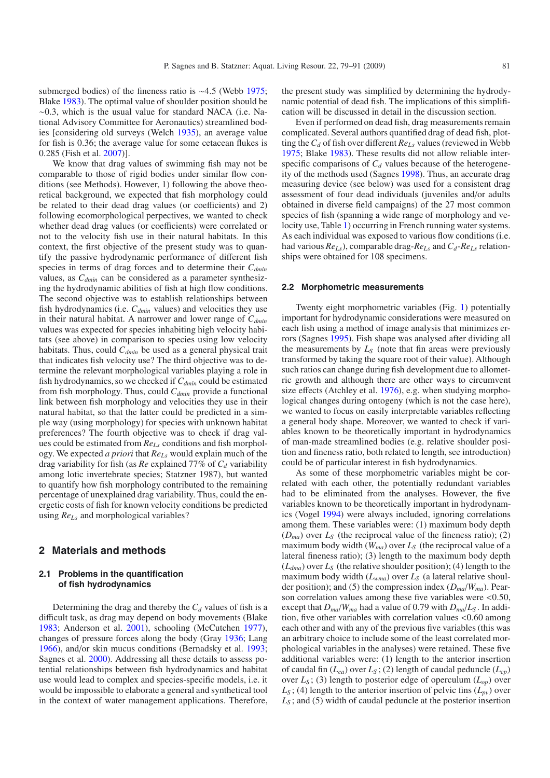submerged bodies) of the fineness ratio is ∼4.5 (Webb [1975;](#page-12-6) Blake [1983\)](#page-10-19). The optimal value of shoulder position should be ∼0.3, which is the usual value for standard NACA (i.e. National Advisory Committee for Aeronautics) streamlined bodies [considering old surveys (Welch [1935\)](#page-12-7), an average value for fish is 0.36; the average value for some cetacean flukes is 0.285 (Fish et al. [2007\)](#page-10-18)].

We know that drag values of swimming fish may not be comparable to those of rigid bodies under similar flow conditions (see Methods). However, 1) following the above theoretical background, we expected that fish morphology could be related to their dead drag values (or coefficients) and 2) following ecomorphological perpectives, we wanted to check whether dead drag values (or coefficients) were correlated or not to the velocity fish use in their natural habitats. In this context, the first objective of the present study was to quantify the passive hydrodynamic performance of different fish species in terms of drag forces and to determine their  $C_{dmin}$ values, as  $C_{dmin}$  can be considered as a parameter synthesizing the hydrodynamic abilities of fish at high flow conditions. The second objective was to establish relationships between fish hydrodynamics (i.e.  $C_{dmin}$  values) and velocities they use in their natural habitat. A narrower and lower range of  $C_{dmin}$ values was expected for species inhabiting high velocity habitats (see above) in comparison to species using low velocity habitats. Thus, could  $C_{dmin}$  be used as a general physical trait that indicates fish velocity use? The third objective was to determine the relevant morphological variables playing a role in fish hydrodynamics, so we checked if  $C_{dmin}$  could be estimated from fish morphology. Thus, could  $C_{dmin}$  provide a functional link between fish morphology and velocities they use in their natural habitat, so that the latter could be predicted in a simple way (using morphology) for species with unknown habitat preferences? The fourth objective was to check if drag values could be estimated from *ReLs* conditions and fish morphology. We expected *a priori* that *ReLs* would explain much of the drag variability for fish (as  $Re$  explained 77% of  $C_d$  variability among lotic invertebrate species; Statzner 1987), but wanted to quantify how fish morphology contributed to the remaining percentage of unexplained drag variability. Thus, could the energetic costs of fish for known velocity conditions be predicted using *ReLs* and morphological variables?

# **2 Materials and methods**

## **2.1 Problems in the quantification of fish hydrodynamics**

Determining the drag and thereby the  $C_d$  values of fish is a difficult task, as drag may depend on body movements (Blake [1983](#page-10-19); Anderson et al. [2001\)](#page-9-1), schooling (McCutchen [1977\)](#page-11-19), changes of pressure forces along the body (Gray [1936;](#page-10-20) Lang [1966](#page-11-20)), and/or skin mucus conditions (Bernadsky et al. [1993;](#page-10-21) Sagnes et al. [2000\)](#page-11-16). Addressing all these details to assess potential relationships between fish hydrodynamics and habitat use would lead to complex and species-specific models, i.e. it would be impossible to elaborate a general and synthetical tool in the context of water management applications. Therefore,

the present study was simplified by determining the hydrodynamic potential of dead fish. The implications of this simplification will be discussed in detail in the discussion section.

Even if performed on dead fish, drag measurements remain complicated. Several authors quantified drag of dead fish, plotting the  $C_d$  of fish over different  $Re_{Ls}$  values (reviewed in Webb [1975;](#page-12-6) Blake [1983\)](#page-10-19). These results did not allow reliable interspecific comparisons of  $C_d$  values because of the heterogeneity of the methods used (Sagnes [1998\)](#page-11-21). Thus, an accurate drag measuring device (see below) was used for a consistent drag assessment of four dead individuals (juveniles and/or adults obtained in diverse field campaigns) of the 27 most common species of fish (spanning a wide range of morphology and velocity use, Table [1\)](#page-4-0) occurring in French running water systems. As each individual was exposed to various flow conditions (i.e. had various  $Re_{Ls}$ ), comparable drag- $Re_{Ls}$  and  $C_d$ - $Re_{Ls}$  relationships were obtained for 108 specimens.

#### **2.2 Morphometric measurements**

Twenty eight morphometric variables (Fig. [1\)](#page-3-0) potentially important for hydrodynamic considerations were measured on each fish using a method of image analysis that minimizes errors (Sagnes [1995](#page-11-22)). Fish shape was analysed after dividing all the measurements by  $L<sub>S</sub>$  (note that fin areas were previously transformed by taking the square root of their value). Although such ratios can change during fish development due to allometric growth and although there are other ways to circumvent size effects (Atchley et al. [1976](#page-9-2)), e.g. when studying morphological changes during ontogeny (which is not the case here), we wanted to focus on easily interpretable variables reflecting a general body shape. Moreover, we wanted to check if variables known to be theoretically important in hydrodynamics of man-made streamlined bodies (e.g. relative shoulder position and fineness ratio, both related to length, see introduction) could be of particular interest in fish hydrodynamics.

As some of these morphometric variables might be correlated with each other, the potentially redundant variables had to be eliminated from the analyses. However, the five variables known to be theoretically important in hydrodynamics (Vogel [1994\)](#page-12-4) were always included, ignoring correlations among them. These variables were: (1) maximum body depth  $(D_{ma})$  over  $L<sub>S</sub>$  (the reciprocal value of the fineness ratio); (2) maximum body width  $(W_{ma})$  over  $L_S$  (the reciprocal value of a lateral fineness ratio); (3) length to the maximum body depth  $(L<sub>dma</sub>)$  over  $L<sub>S</sub>$  (the relative shoulder position); (4) length to the maximum body width  $(L_{wma})$  over  $L_S$  (a lateral relative shoulder position); and (5) the compression index (*Dma*/*Wma*). Pearson correlation values among these five variables were <0.50, except that  $D_{ma}/W_{ma}$  had a value of 0.79 with  $D_{ma}/L_S$ . In addition, five other variables with correlation values <0.60 among each other and with any of the previous five variables (this was an arbitrary choice to include some of the least correlated morphological variables in the analyses) were retained. These five additional variables were: (1) length to the anterior insertion of caudal fin  $(L_{ca})$  over  $L_s$ ; (2) length of caudal peduncle  $(L_{cp})$ over  $L_s$ ; (3) length to posterior edge of operculum  $(L_{op})$  over  $L_S$ ; (4) length to the anterior insertion of pelvic fins  $(L_{pv})$  over *LS* ; and (5) width of caudal peduncle at the posterior insertion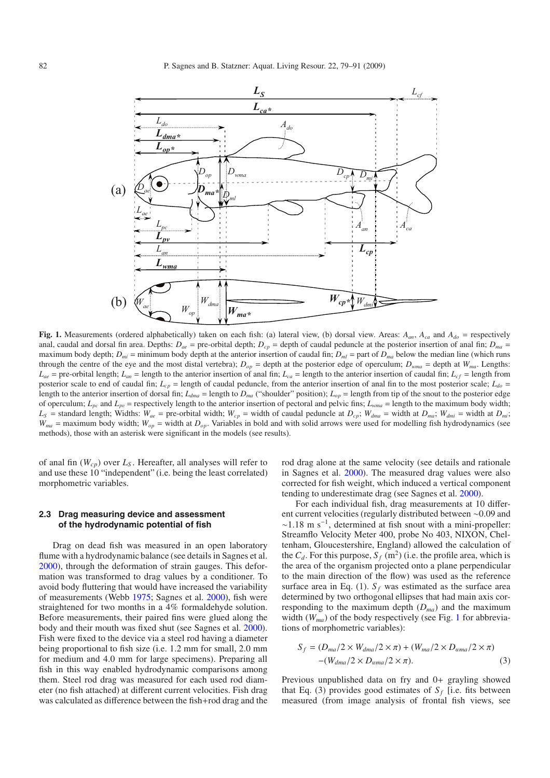

<span id="page-3-0"></span>**Fig. 1.** Measurements (ordered alphabetically) taken on each fish: (a) lateral view, (b) dorsal view. Areas: *Aan*, *Aca* and *Ado* = respectively anal, caudal and dorsal fin area. Depths:  $D_{ae}$  = pre-orbital depth;  $D_{cp}$  = depth of caudal peduncle at the posterior insertion of anal fin;  $D_{ma}$  = maximum body depth;  $D_{mi}$  = minimum body depth at the anterior insertion of caudal fin;  $D_{mi}$  = part of  $D_{ma}$  below the median line (which runs through the centre of the eye and the most distal vertebra);  $D_{op}$  = depth at the posterior edge of operculum;  $D_{wma}$  = depth at  $W_{ma}$ . Lengths:  $L_{ae}$  = pre-orbital length;  $L_{an}$  = length to the anterior insertion of anal fin;  $L_{ca}$  = length to the anterior insertion of caudal fin;  $L_{cf}$  = length from posterior scale to end of caudal fin;  $L_{cp}$  = length of caudal peduncle, from the anterior insertion of anal fin to the most posterior scale;  $L_{do}$  = length to the anterior insertion of dorsal fin;  $L_{dma}$  = length to  $D_{ma}$  ("shoulder" position);  $L_{op}$  = length from tip of the snout to the posterior edge of operculum;  $L_{pc}$  and  $L_{pv}$  = respectively length to the anterior insertion of pectoral and pelvic fins;  $L_{wma}$  = length to the maximum body width;  $L_S$  = standard length; Widths:  $W_{ae}$  = pre-orbital width;  $W_{cp}$  = width of caudal peduncle at  $D_{cp}$ ;  $W_{dma}$  = width at  $D_{ma}$ ;  $W_{dmi}$  = width at  $D_{mi}$ ;  $W_{ma}$  = maximum body width;  $W_{op}$  = width at  $D_{op}$ . Variables in bold and with solid arrows were used for modelling fish hydrodynamics (see methods), those with an asterisk were significant in the models (see results).

of anal fin  $(W_{cp})$  over  $L_s$ . Hereafter, all analyses will refer to and use these 10 "independent" (i.e. being the least correlated) morphometric variables.

## **2.3 Drag measuring device and assessment of the hydrodynamic potential of fish**

Drag on dead fish was measured in an open laboratory flume with a hydrodynamic balance (see details in Sagnes et al. [2000](#page-11-16)), through the deformation of strain gauges. This deformation was transformed to drag values by a conditioner. To avoid body fluttering that would have increased the variability of measurements (Webb [1975](#page-12-6); Sagnes et al. [2000\)](#page-11-16), fish were straightened for two months in a 4% formaldehyde solution. Before measurements, their paired fins were glued along the body and their mouth was fixed shut (see Sagnes et al. [2000\)](#page-11-16). Fish were fixed to the device via a steel rod having a diameter being proportional to fish size (i.e. 1.2 mm for small, 2.0 mm for medium and 4.0 mm for large specimens). Preparing all fish in this way enabled hydrodynamic comparisons among them. Steel rod drag was measured for each used rod diameter (no fish attached) at different current velocities. Fish drag was calculated as difference between the fish+rod drag and the

rod drag alone at the same velocity (see details and rationale in Sagnes et al. [2000\)](#page-11-16). The measured drag values were also corrected for fish weight, which induced a vertical component tending to underestimate drag (see Sagnes et al. [2000](#page-11-16)).

For each individual fish, drag measurements at 10 different current velocities (regularly distributed between ∼0.09 and  $\sim$ 1.18 m s<sup>-1</sup>, determined at fish snout with a mini-propeller: Streamflo Velocity Meter 400, probe No 403, NIXON, Cheltenham, Gloucestershire, England) allowed the calculation of the  $C_d$ . For this purpose,  $S_f$  (m<sup>2</sup>) (i.e. the profile area, which is the area of the organism projected onto a plane perpendicular to the main direction of the flow) was used as the reference surface area in Eq. (1).  $S_f$  was estimated as the surface area determined by two orthogonal ellipses that had main axis corresponding to the maximum depth  $(D_{ma})$  and the maximum width (*Wma*) of the body respectively (see Fig. [1](#page-3-0) for abbreviations of morphometric variables):

$$
S_f = (D_{ma}/2 \times W_{dma}/2 \times \pi) + (W_{ma}/2 \times D_{wma}/2 \times \pi)
$$

$$
-(W_{dma}/2 \times D_{wma}/2 \times \pi). \tag{3}
$$

Previous unpublished data on fry and 0+ grayling showed that Eq. (3) provides good estimates of  $S_f$  [i.e. fits between measured (from image analysis of frontal fish views, see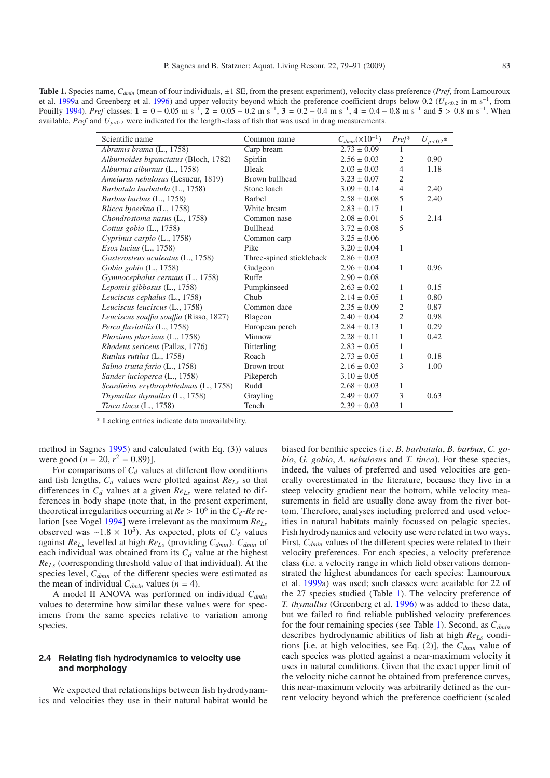<span id="page-4-0"></span>**Table 1.** Species name, *Cdmin* (mean of four individuals, ±1 SE, from the present experiment), velocity class preference (*Pref*, from Lamouroux et al. [1999](#page-10-22)a and Greenberg et al. [1996](#page-10-23)) and upper velocity beyond which the preference coefficient drops below 0.2 ( $U_{p<0.2}$  in m s<sup>-1</sup>, from Pouilly [1994\)](#page-11-23). *Pref* classes: **1** = 0 − 0.05 m s−1, **2** = 0.05 − 0.2ms−1, **3** = 0.2 − 0.4ms−1, **4** = 0.4 − 0.8ms−<sup>1</sup> and **5** > 0.8ms−1. When available, *Pref* and  $U_{p<0.2}$  were indicated for the length-class of fish that was used in drag measurements.

| Scientific name                         | Common name              | $C_{\text{dmin}}(\times 10^{-1})$ | $Pref^*$       | $U_{p<0.2}$ * |
|-----------------------------------------|--------------------------|-----------------------------------|----------------|---------------|
| Abramis brama (L., 1758)                | Carp bream               | $2.73 \pm 0.09$                   | 1              |               |
| Alburnoides bipunctatus (Bloch, 1782)   | Spirlin                  | $2.56 \pm 0.03$                   | $\overline{c}$ | 0.90          |
| Alburnus alburnus (L., 1758)            | <b>Bleak</b>             | $2.03 \pm 0.03$                   | $\overline{4}$ | 1.18          |
| Ameiurus nebulosus (Lesueur, 1819)      | Brown bullhead           | $3.23 \pm 0.07$                   | $\overline{2}$ |               |
| Barbatula barbatula (L., 1758)          | Stone loach              | $3.09 \pm 0.14$                   | $\overline{4}$ | 2.40          |
| Barbus barbus (L., 1758)                | Barbel                   | $2.58 \pm 0.08$                   | 5              | 2.40          |
| Blicca bjoerkna (L., 1758)              | White bream              | $2.83 \pm 0.17$                   | 1              |               |
| Chondrostoma nasus (L., 1758)           | Common nase              | $2.08 \pm 0.01$                   | 5              | 2.14          |
| Cottus gobio (L., 1758)                 | <b>Bullhead</b>          | $3.72 \pm 0.08$                   | 5              |               |
| Cyprinus carpio (L., 1758)              | Common carp              | $3.25 \pm 0.06$                   |                |               |
| $Esox lucius$ (L., 1758)                | Pike                     | $3.20 \pm 0.04$                   | 1              |               |
| Gasterosteus aculeatus (L., 1758)       | Three-spined stickleback | $2.86 \pm 0.03$                   |                |               |
| $Gobio, gobio$ (L., 1758)               | Gudgeon                  | $2.96 \pm 0.04$                   | 1              | 0.96          |
| Gymnocephalus cernuus (L., 1758)        | Ruffe                    | $2.90 \pm 0.08$                   |                |               |
| Lepomis gibbosus (L., 1758)             | Pumpkinseed              | $2.63 \pm 0.02$                   | 1              | 0.15          |
| Leuciscus cephalus (L., 1758)           | Chub                     | $2.14 \pm 0.05$                   | 1              | 0.80          |
| Leuciscus leuciscus (L., 1758)          | Common dace              | $2.35 \pm 0.09$                   | 2              | 0.87          |
| Leuciscus souffia souffia (Risso, 1827) | Blageon                  | $2.40 \pm 0.04$                   | $\overline{2}$ | 0.98          |
| Perca fluviatilis (L., 1758)            | European perch           | $2.84 \pm 0.13$                   | 1              | 0.29          |
| Phoxinus phoxinus (L., 1758)            | Minnow                   | $2.28 \pm 0.11$                   | 1              | 0.42          |
| <i>Rhodeus sericeus</i> (Pallas, 1776)  | Bitterling               | $2.83 \pm 0.05$                   | 1              |               |
| <i>Rutilus rutilus</i> (L., 1758)       | Roach                    | $2.73 \pm 0.05$                   | 1              | 0.18          |
| Salmo trutta fario (L., 1758)           | Brown trout              | $2.16 \pm 0.03$                   | 3              | 1.00          |
| Sander lucioperca (L., 1758)            | Pikeperch                | $3.10 \pm 0.05$                   |                |               |
| Scardinius erythrophthalmus (L., 1758)  | Rudd                     | $2.68 \pm 0.03$                   | 1              |               |
| Thymallus thymallus (L., 1758)          | Grayling                 | $2.49 \pm 0.07$                   | 3              | 0.63          |
| Tinca tinca (L., 1758)                  | Tench                    | $2.39 \pm 0.03$                   | 1              |               |

\* Lacking entries indicate data unavailability.

method in Sagnes [1995\)](#page-11-22) and calculated (with Eq. (3)) values were good ( $n = 20$ ,  $r^2 = 0.89$ )].

For comparisons of  $C_d$  values at different flow conditions and fish lengths,  $C_d$  values were plotted against  $Re_{Ls}$  so that differences in  $C_d$  values at a given  $Re_{Ls}$  were related to differences in body shape (note that, in the present experiment, theoretical irregularities occurring at  $Re > 10^6$  in the  $C_d$ -*Re* relation [see Vogel [1994\]](#page-12-4) were irrelevant as the maximum *ReLs* observed was ∼1.8 × 105). As expected, plots of *Cd* values against  $Re_{Ls}$  levelled at high  $Re_{Ls}$  (providing  $C_{dmin}$ ).  $C_{dmin}$  of each individual was obtained from its  $C_d$  value at the highest *ReLs* (corresponding threshold value of that individual). At the species level,  $C_{dmin}$  of the different species were estimated as the mean of individual  $C_{dmin}$  values ( $n = 4$ ).

A model II ANOVA was performed on individual *Cdmin* values to determine how similar these values were for specimens from the same species relative to variation among species.

## **2.4 Relating fish hydrodynamics to velocity use and morphology**

We expected that relationships between fish hydrodynamics and velocities they use in their natural habitat would be

biased for benthic species (i.e. *B. barbatula*, *B. barbus*, *C. gobio*, *G. gobio*, *A. nebulosus* and *T. tinca*). For these species, indeed, the values of preferred and used velocities are generally overestimated in the literature, because they live in a steep velocity gradient near the bottom, while velocity measurements in field are usually done away from the river bottom. Therefore, analyses including preferred and used velocities in natural habitats mainly focussed on pelagic species. Fish hydrodynamics and velocity use were related in two ways. First, *C<sub>dmin</sub>* values of the different species were related to their velocity preferences. For each species, a velocity preference class (i.e. a velocity range in which field observations demonstrated the highest abundances for each species: Lamouroux et al. [1999](#page-10-22)a) was used; such classes were available for 22 of the 27 species studied (Table [1\)](#page-4-0). The velocity preference of *T. thymallus* (Greenberg et al. [1996\)](#page-10-23) was added to these data, but we failed to find reliable published velocity preferences for the four remaining species (see Table [1\)](#page-4-0). Second, as  $C_{dmin}$ describes hydrodynamic abilities of fish at high *ReLs* conditions [i.e. at high velocities, see Eq.  $(2)$ ], the  $C_{dmin}$  value of each species was plotted against a near-maximum velocity it uses in natural conditions. Given that the exact upper limit of the velocity niche cannot be obtained from preference curves, this near-maximum velocity was arbitrarily defined as the current velocity beyond which the preference coefficient (scaled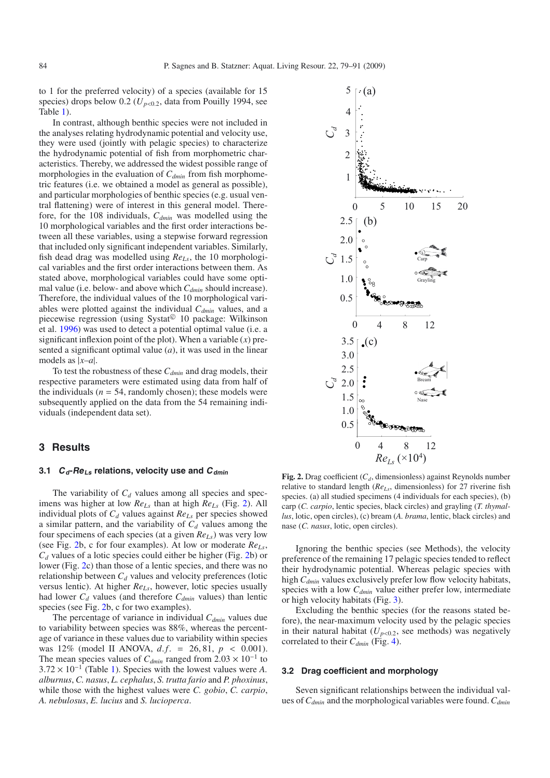to 1 for the preferred velocity) of a species (available for 15 species) drops below 0.2 ( $U_{p<0.2}$ , data from Pouilly 1994, see Table [1\)](#page-4-0).

In contrast, although benthic species were not included in the analyses relating hydrodynamic potential and velocity use, they were used (jointly with pelagic species) to characterize the hydrodynamic potential of fish from morphometric characteristics. Thereby, we addressed the widest possible range of morphologies in the evaluation of  $C_{dmin}$  from fish morphometric features (i.e. we obtained a model as general as possible), and particular morphologies of benthic species (e.g. usual ventral flattening) were of interest in this general model. Therefore, for the 108 individuals,  $C_{dmin}$  was modelled using the 10 morphological variables and the first order interactions between all these variables, using a stepwise forward regression that included only significant independent variables. Similarly, fish dead drag was modelled using *ReLs*, the 10 morphological variables and the first order interactions between them. As stated above, morphological variables could have some optimal value (i.e. below- and above which  $C_{dmin}$  should increase). Therefore, the individual values of the 10 morphological variables were plotted against the individual  $C_{dmin}$  values, and a piecewise regression (using Systat<sup>©</sup> 10 package: Wilkinson et al. [1996](#page-12-9)) was used to detect a potential optimal value (i.e. a significant inflexion point of the plot). When a variable  $(x)$  presented a significant optimal value (*a*), it was used in the linear models as |*x*–*a*|.

To test the robustness of these  $C_{dmin}$  and drag models, their respective parameters were estimated using data from half of the individuals ( $n = 54$ , randomly chosen); these models were subsequently applied on the data from the 54 remaining individuals (independent data set).

## **3 Results**

#### **3.1 Cd-ReLs relations, velocity use and Cdmin**

The variability of  $C_d$  values among all species and specimens was higher at low *ReLs* than at high *ReLs* (Fig. [2\)](#page-5-0). All individual plots of  $C_d$  values against  $Re_{Ls}$  per species showed a similar pattern, and the variability of  $C_d$  values among the four specimens of each species (at a given *ReLs*) was very low (see Fig. [2b](#page-5-0), c for four examples). At low or moderate *ReLs*, *Cd* values of a lotic species could either be higher (Fig. [2b](#page-5-0)) or lower (Fig. [2c](#page-5-0)) than those of a lentic species, and there was no relationship between  $C_d$  values and velocity preferences (lotic versus lentic). At higher *ReLs*, however, lotic species usually had lower  $C_d$  values (and therefore  $C_{dmin}$  values) than lentic species (see Fig. [2b](#page-5-0), c for two examples).

The percentage of variance in individual  $C_{dmin}$  values due to variability between species was 88%, whereas the percentage of variance in these values due to variability within species was 12% (model II ANOVA, *d*. *f*. = 26, 81, *p* < 0.001). The mean species values of  $C_{dmin}$  ranged from  $2.03 \times 10^{-1}$  to  $3.72 \times 10^{-1}$  (Table [1\)](#page-4-0). Species with the lowest values were *A*. *alburnus*, *C. nasus*, *L. cephalus*, *S. trutta fario* and *P. phoxinus*, while those with the highest values were *C. gobio*, *C. carpio*, *A. nebulosus*, *E. lucius* and *S. lucioperca*.



<span id="page-5-0"></span>**Fig. 2.** Drag coefficient  $(C_d,$  dimensionless) against Reynolds number relative to standard length (*ReLs*, dimensionless) for 27 riverine fish species. (a) all studied specimens (4 individuals for each species), (b) carp (*C. carpio*, lentic species, black circles) and grayling (*T. thymallus*, lotic, open circles), (c) bream (*A. brama*, lentic, black circles) and nase (*C. nasus*, lotic, open circles).

Ignoring the benthic species (see Methods), the velocity preference of the remaining 17 pelagic species tended to reflect their hydrodynamic potential. Whereas pelagic species with high  $C_{dmin}$  values exclusively prefer low flow velocity habitats, species with a low  $C_{dmin}$  value either prefer low, intermediate or high velocity habitats (Fig. [3\)](#page-6-0).

Excluding the benthic species (for the reasons stated before), the near-maximum velocity used by the pelagic species in their natural habitat  $(U_{p<0.2}$ , see methods) was negatively correlated to their  $C_{dmin}$  (Fig. [4\)](#page-6-1).

#### **3.2 Drag coefficient and morphology**

Seven significant relationships between the individual values of  $C_{dmin}$  and the morphological variables were found.  $C_{dmin}$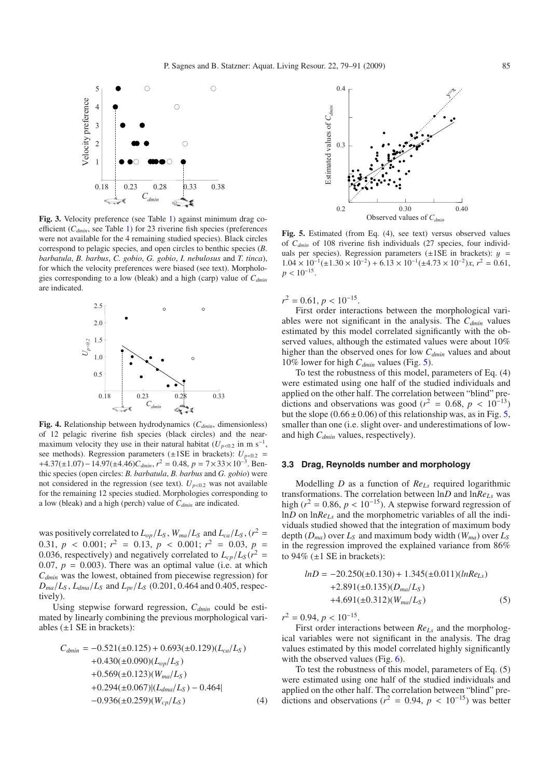<span id="page-6-0"></span>

**Fig. 3.** Velocity preference (see Table [1\)](#page-4-0) against minimum drag coefficient ( $C_{dmin}$ , see Table [1\)](#page-4-0) for 23 riverine fish species (preferences were not available for the 4 remaining studied species). Black circles correspond to pelagic species, and open circles to benthic species (*B. barbatula*, *B. barbus*, *C. gobio*, *G. gobio*, *I. nebulosus* and *T. tinca*), for which the velocity preferences were biased (see text). Morphologies corresponding to a low (bleak) and a high (carp) value of  $C_{dmin}$ are indicated.

<span id="page-6-1"></span>

**Fig. 4.** Relationship between hydrodynamics ( $C_{dmin}$ , dimensionless) of 12 pelagic riverine fish species (black circles) and the nearmaximum velocity they use in their natural habitat ( $U_{p<0.2}$  in m s<sup>-1</sup>, see methods). Regression parameters ( $\pm 1SE$  in brackets):  $U_{p<0.2}$  = +4.37(±1.07)−14.97(±4.46)*Cdmin*, *r*<sup>2</sup> = 0.48, *p* = 7×33×10−3. Benthic species (open circles: *B. barbatula*, *B. barbus* and *G. gobio*) were not considered in the regression (see text).  $U_{p<0.2}$  was not available for the remaining 12 species studied. Morphologies corresponding to a low (bleak) and a high (perch) value of  $C_{dmin}$  are indicated.

was positively correlated to  $L_{op}/L_S$ ,  $W_{ma}/L_S$  and  $L_{ca}/L_S$ ,  $(r^2 =$ 0.31,  $p \le 0.001$ ;  $r^2 = 0.13$ ,  $p \le 0.001$ ;  $r^2 = 0.03$ ,  $p =$ 0.036, respectively) and negatively correlated to  $L_{cp}/L_S(\vec{r}^2 =$ 0.07,  $p = 0.003$ ). There was an optimal value (i.e. at which *Cdmin* was the lowest, obtained from piecewise regression) for  $D_{ma}/L_S$ ,  $L_{dma}/L_S$  and  $L_{pv}/L_S$  (0.201, 0.464 and 0.405, respectively).

Using stepwise forward regression,  $C_{dmin}$  could be estimated by linearly combining the previous morphological variables  $(\pm 1 \text{ SE in brackets})$ :

$$
C_{dmin} = -0.521(\pm 0.125) + 0.693(\pm 0.129)(L_{ca}/L_S)
$$
  
+0.430(\pm 0.090)(L<sub>op</sub>/L<sub>S</sub>)  
+0.569(\pm 0.123)(W<sub>ma</sub>/L<sub>S</sub>)  
+0.294(\pm 0.067)|(L<sub>dma</sub>/L<sub>S</sub>) - 0.464|  
-0.936(\pm 0.259)(W<sub>cp</sub>/L<sub>S</sub>) (4)

<span id="page-6-2"></span>

**Fig. 5.** Estimated (from Eq. (4), see text) versus observed values of *C<sub>dmin</sub>* of 108 riverine fish individuals (27 species, four individuals per species). Regression parameters ( $\pm$ 1SE in brackets):  $y =$  $1.04 \times 10^{-1} (\pm 1.30 \times 10^{-2}) + 6.13 \times 10^{-1} (\pm 4.73 \times 10^{-2})$ *x*,  $r^2 = 0.61$ ,  $p < 10^{-15}$ .

 $r^2 = 0.61, p < 10^{-15}$ .

First order interactions between the morphological variables were not significant in the analysis. The *C<sub>dmin</sub>* values estimated by this model correlated significantly with the observed values, although the estimated values were about 10% higher than the observed ones for low  $C_{dmin}$  values and about 10% lower for high  $C_{dmin}$  values (Fig. [5\)](#page-6-2).

To test the robustness of this model, parameters of Eq. (4) were estimated using one half of the studied individuals and applied on the other half. The correlation between "blind" predictions and observations was good ( $r^2 = 0.68$ ,  $p < 10^{-13}$ ) but the slope  $(0.66 \pm 0.06)$  of this relationship was, as in Fig. [5,](#page-6-2) smaller than one (i.e. slight over- and underestimations of lowand high  $C_{dmin}$  values, respectively).

#### **3.3 Drag, Reynolds number and morphology**

Modelling *D* as a function of *ReLs* required logarithmic transformations. The correlation between ln*D* and ln*ReLs* was high ( $r^2 = 0.86$ ,  $p < 10^{-15}$ ). A stepwise forward regression of  $lnD$  on  $lnRe<sub>Ls</sub>$  and the morphometric variables of all the individuals studied showed that the integration of maximum body depth  $(D_{ma})$  over  $L_S$  and maximum body width  $(W_{ma})$  over  $L_S$ in the regression improved the explained variance from 86% to  $94\%$  ( $\pm 1$  SE in brackets):

$$
lnD = -20.250(\pm 0.130) + 1.345(\pm 0.011)(lnRe_{LS})
$$
  
+2.891(\pm 0.135)(D<sub>ma</sub>/L<sub>S</sub>)  
+4.691(\pm 0.312)(W<sub>ma</sub>/L<sub>S</sub>) (5)

 $r^2 = 0.94, p < 10^{-15}$ .

First order interactions between *ReLs* and the morphological variables were not significant in the analysis. The drag values estimated by this model correlated highly significantly with the observed values (Fig.  $6$ ).

To test the robustness of this model, parameters of Eq. (5) were estimated using one half of the studied individuals and applied on the other half. The correlation between "blind" predictions and observations ( $r^2 = 0.94$ ,  $p < 10^{-15}$ ) was better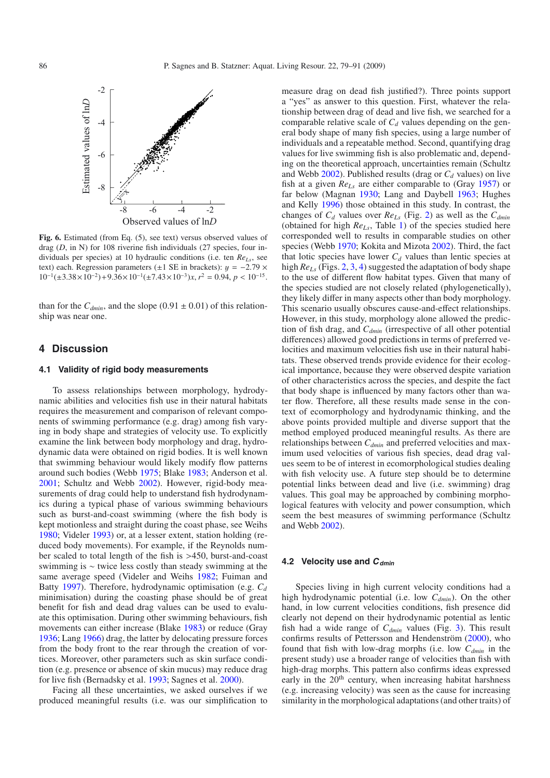<span id="page-7-0"></span>

**Fig. 6.** Estimated (from Eq. (5), see text) versus observed values of drag (*D*, in N) for 108 riverine fish individuals (27 species, four individuals per species) at 10 hydraulic conditions (i.e. ten *ReLs*, see text) each. Regression parameters ( $\pm 1$  SE in brackets):  $y = -2.79 \times$  $10^{-1}$ (±3.38×10<sup>-2</sup>)+9.36×10<sup>-1</sup>(±7.43×10<sup>-3</sup>)*x*,  $r^2 = 0.94$ ,  $p < 10^{-15}$ .

than for the  $C_{dmin}$ , and the slope (0.91  $\pm$  0.01) of this relationship was near one.

## **4 Discussion**

#### **4.1 Validity of rigid body measurements**

To assess relationships between morphology, hydrodynamic abilities and velocities fish use in their natural habitats requires the measurement and comparison of relevant components of swimming performance (e.g. drag) among fish varying in body shape and strategies of velocity use. To explicitly examine the link between body morphology and drag, hydrodynamic data were obtained on rigid bodies. It is well known that swimming behaviour would likely modify flow patterns around such bodies (Webb [1975;](#page-12-6) Blake [1983;](#page-10-19) Anderson et al. [2001](#page-9-1); Schultz and Webb [2002](#page-11-24)). However, rigid-body measurements of drag could help to understand fish hydrodynamics during a typical phase of various swimming behaviours such as burst-and-coast swimming (where the fish body is kept motionless and straight during the coast phase, see Weihs [1980](#page-12-10); Videler [1993\)](#page-12-11) or, at a lesser extent, station holding (reduced body movements). For example, if the Reynolds number scaled to total length of the fish is >450, burst-and-coast swimming is ∼ twice less costly than steady swimming at the same average speed (Videler and Weihs [1982](#page-12-12); Fuiman and Batty [1997\)](#page-10-17). Therefore, hydrodynamic optimisation (e.g.  $C_d$ ) minimisation) during the coasting phase should be of great benefit for fish and dead drag values can be used to evaluate this optimisation. During other swimming behaviours, fish movements can either increase (Blake [1983\)](#page-10-19) or reduce (Gray [1936](#page-10-20); Lang [1966\)](#page-11-20) drag, the latter by delocating pressure forces from the body front to the rear through the creation of vortices. Moreover, other parameters such as skin surface condition (e.g. presence or absence of skin mucus) may reduce drag for live fish (Bernadsky et al. [1993](#page-10-21); Sagnes et al. [2000](#page-11-16)).

Facing all these uncertainties, we asked ourselves if we produced meaningful results (i.e. was our simplification to measure drag on dead fish justified?). Three points support a "yes" as answer to this question. First, whatever the relationship between drag of dead and live fish, we searched for a comparable relative scale of  $C_d$  values depending on the general body shape of many fish species, using a large number of individuals and a repeatable method. Second, quantifying drag values for live swimming fish is also problematic and, depending on the theoretical approach, uncertainties remain (Schultz and Webb  $2002$ ). Published results (drag or  $C_d$  values) on live fish at a given *ReLs* are either comparable to (Gray [1957](#page-10-24)) or far below (Magnan [1930;](#page-11-25) Lang and Daybell [1963;](#page-11-26) Hughes and Kelly [1996\)](#page-10-15) those obtained in this study. In contrast, the changes of  $C_d$  values over  $Re_{Ls}$  (Fig. [2\)](#page-5-0) as well as the  $C_{dmin}$ (obtained for high *ReLs*, Table [1\)](#page-4-0) of the species studied here corresponded well to results in comparable studies on other species (Webb [1970;](#page-12-13) Kokita and Mizota [2002](#page-10-25)). Third, the fact that lotic species have lower  $C_d$  values than lentic species at high *ReLs* (Figs. [2,](#page-5-0) [3,](#page-6-0) [4\)](#page-6-1) suggested the adaptation of body shape to the use of different flow habitat types. Given that many of the species studied are not closely related (phylogenetically), they likely differ in many aspects other than body morphology. This scenario usually obscures cause-and-effect relationships. However, in this study, morphology alone allowed the prediction of fish drag, and  $C_{dmin}$  (irrespective of all other potential differences) allowed good predictions in terms of preferred velocities and maximum velocities fish use in their natural habitats. These observed trends provide evidence for their ecological importance, because they were observed despite variation of other characteristics across the species, and despite the fact that body shape is influenced by many factors other than water flow. Therefore, all these results made sense in the context of ecomorphology and hydrodynamic thinking, and the above points provided multiple and diverse support that the method employed produced meaningful results. As there are relationships between  $C_{dmin}$  and preferred velocities and maximum used velocities of various fish species, dead drag values seem to be of interest in ecomorphological studies dealing with fish velocity use. A future step should be to determine potential links between dead and live (i.e. swimming) drag values. This goal may be approached by combining morphological features with velocity and power consumption, which seem the best measures of swimming performance (Schultz and Webb [2002](#page-11-24)).

#### **4.2 Velocity use and Cdmin**

Species living in high current velocity conditions had a high hydrodynamic potential (i.e. low  $C_{dmin}$ ). On the other hand, in low current velocities conditions, fish presence did clearly not depend on their hydrodynamic potential as lentic fish had a wide range of  $C_{dmin}$  values (Fig. [3\)](#page-6-0). This result confirms results of Pettersson and Hendenström [\(2000\)](#page-11-27), who found that fish with low-drag morphs (i.e. low  $C_{dmin}$  in the present study) use a broader range of velocities than fish with high-drag morphs. This pattern also confirms ideas expressed early in the 20<sup>th</sup> century, when increasing habitat harshness (e.g. increasing velocity) was seen as the cause for increasing similarity in the morphological adaptations (and other traits) of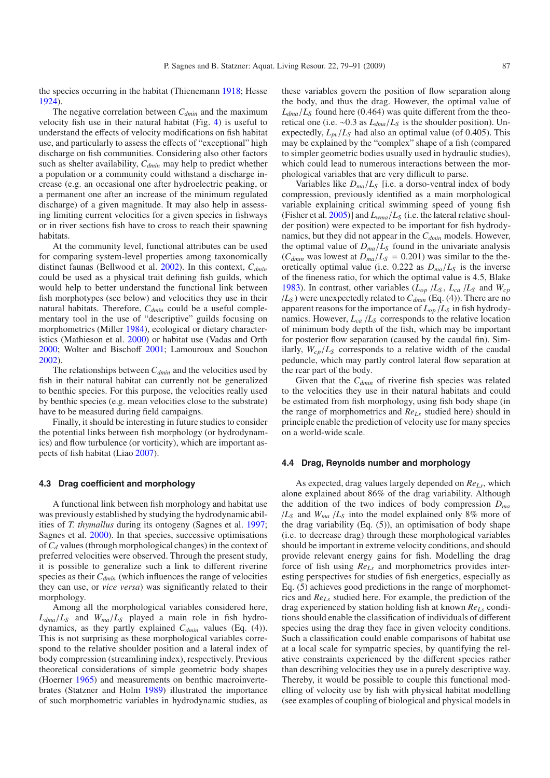the species occurring in the habitat (Thienemann [1918](#page-12-14); Hesse [1924](#page-10-26)).

The negative correlation between  $C_{dmin}$  and the maximum velocity fish use in their natural habitat (Fig. [4\)](#page-6-1) is useful to understand the effects of velocity modifications on fish habitat use, and particularly to assess the effects of "exceptional" high discharge on fish communities. Considering also other factors such as shelter availability,  $C_{dmin}$  may help to predict whether a population or a community could withstand a discharge increase (e.g. an occasional one after hydroelectric peaking, or a permanent one after an increase of the minimum regulated discharge) of a given magnitude. It may also help in assessing limiting current velocities for a given species in fishways or in river sections fish have to cross to reach their spawning habitats.

At the community level, functional attributes can be used for comparing system-level properties among taxonomically distinct faunas (Bellwood et al. [2002\)](#page-10-27). In this context,  $C_{dmin}$ could be used as a physical trait defining fish guilds, which would help to better understand the functional link between fish morphotypes (see below) and velocities they use in their natural habitats. Therefore,  $C_{dmin}$  could be a useful complementary tool in the use of "descriptive" guilds focusing on morphometrics (Miller [1984](#page-11-28)), ecological or dietary characteristics (Mathieson et al. [2000\)](#page-11-29) or habitat use (Vadas and Orth [2000](#page-12-15); Wolter and Bischoff [2001;](#page-12-16) Lamouroux and Souchon [2002](#page-10-28)).

The relationships between  $C_{dmin}$  and the velocities used by fish in their natural habitat can currently not be generalized to benthic species. For this purpose, the velocities really used by benthic species (e.g. mean velocities close to the substrate) have to be measured during field campaigns.

Finally, it should be interesting in future studies to consider the potential links between fish morphology (or hydrodynamics) and flow turbulence (or vorticity), which are important aspects of fish habitat (Liao [2007\)](#page-11-30).

#### **4.3 Drag coefficient and morphology**

A functional link between fish morphology and habitat use was previously established by studying the hydrodynamic abilities of *T. thymallus* during its ontogeny (Sagnes et al. [1997;](#page-11-15) Sagnes et al. [2000](#page-11-16)). In that species, successive optimisations of*Cd* values (through morphological changes) in the context of preferred velocities were observed. Through the present study, it is possible to generalize such a link to different riverine species as their  $C_{dmin}$  (which influences the range of velocities they can use, or *vice versa*) was significantly related to their morphology.

Among all the morphological variables considered here,  $L_{dma}/L_s$  and  $W_{ma}/L_s$  played a main role in fish hydrodynamics, as they partly explained  $C_{dmin}$  values (Eq. (4)). This is not surprising as these morphological variables correspond to the relative shoulder position and a lateral index of body compression (streamlining index), respectively. Previous theoretical considerations of simple geometric body shapes (Hoerner [1965\)](#page-10-29) and measurements on benthic macroinvertebrates (Statzner and Holm [1989](#page-12-8)) illustrated the importance of such morphometric variables in hydrodynamic studies, as

these variables govern the position of flow separation along the body, and thus the drag. However, the optimal value of  $L_{dma}/L_s$  found here (0.464) was quite different from the theoretical one (i.e. ∼0.3 as *Ldma*/*LS* is the shoulder position). Unexpectedly,  $L_{pv}/L_S$  had also an optimal value (of 0.405). This may be explained by the "complex" shape of a fish (compared to simpler geometric bodies usually used in hydraulic studies), which could lead to numerous interactions between the morphological variables that are very difficult to parse.

Variables like *Dma*/*LS* [i.e. a dorso-ventral index of body compression, previously identified as a main morphological variable explaining critical swimming speed of young fish (Fisher et al. [2005\)](#page-10-30)] and  $L_{wmal}/L_S$  (i.e. the lateral relative shoulder position) were expected to be important for fish hydrodynamics, but they did not appear in the  $C_{dmin}$  models. However, the optimal value of  $D_{ma}/L_S$  found in the univariate analysis  $(C_{dmin}$  was lowest at  $D_{ma}/L_S = 0.201$ ) was similar to the theoretically optimal value (i.e.  $0.222$  as  $D_{ma}/L_S$  is the inverse of the fineness ratio, for which the optimal value is 4.5, Blake [1983\)](#page-10-19). In contrast, other variables  $(L_{op}/L_S, L_{ca}/L_S$  and  $W_{cp}$  $/L<sub>S</sub>$ ) were unexpectedly related to  $C<sub>dmin</sub>$  (Eq. (4)). There are no apparent reasons for the importance of  $L_{op}/L_S$  in fish hydrodynamics. However,  $L_{ca}$  / $L_S$  corresponds to the relative location of minimum body depth of the fish, which may be important for posterior flow separation (caused by the caudal fin). Similarly,  $W_{cp}/L_s$  corresponds to a relative width of the caudal peduncle, which may partly control lateral flow separation at the rear part of the body.

Given that the *C<sub>dmin</sub>* of riverine fish species was related to the velocities they use in their natural habitats and could be estimated from fish morphology, using fish body shape (in the range of morphometrics and *ReLs* studied here) should in principle enable the prediction of velocity use for many species on a world-wide scale.

#### **4.4 Drag, Reynolds number and morphology**

As expected, drag values largely depended on *ReLs*, which alone explained about 86% of the drag variability. Although the addition of the two indices of body compression *Dma*  $/L<sub>S</sub>$  and  $W<sub>ma</sub> / L<sub>S</sub>$  into the model explained only 8% more of the drag variability (Eq. (5)), an optimisation of body shape (i.e. to decrease drag) through these morphological variables should be important in extreme velocity conditions, and should provide relevant energy gains for fish. Modelling the drag force of fish using *ReLs* and morphometrics provides interesting perspectives for studies of fish energetics, especially as Eq. (5) achieves good predictions in the range of morphometrics and *ReLs* studied here. For example, the prediction of the drag experienced by station holding fish at known *ReLs* conditions should enable the classification of individuals of different species using the drag they face in given velocity conditions. Such a classification could enable comparisons of habitat use at a local scale for sympatric species, by quantifying the relative constraints experienced by the different species rather than describing velocities they use in a purely descriptive way. Thereby, it would be possible to couple this functional modelling of velocity use by fish with physical habitat modelling (see examples of coupling of biological and physical models in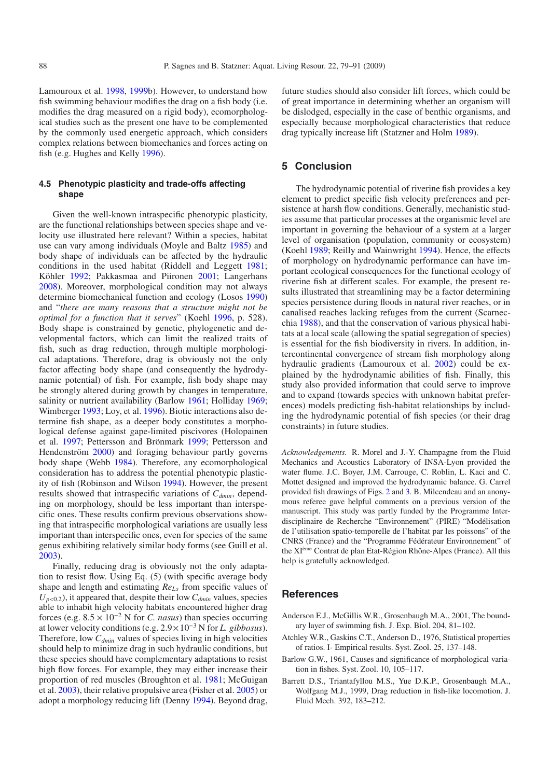Lamouroux et al. [1998,](#page-10-31) [1999](#page-10-32)b). However, to understand how fish swimming behaviour modifies the drag on a fish body (i.e. modifies the drag measured on a rigid body), ecomorphological studies such as the present one have to be complemented by the commonly used energetic approach, which considers complex relations between biomechanics and forces acting on fish (e.g. Hughes and Kelly [1996\)](#page-10-15).

## **4.5 Phenotypic plasticity and trade-offs affecting shape**

Given the well-known intraspecific phenotypic plasticity, are the functional relationships between species shape and velocity use illustrated here relevant? Within a species, habitat use can vary among individuals (Moyle and Baltz [1985\)](#page-11-31) and body shape of individuals can be affected by the hydraulic conditions in the used habitat (Riddell and Leggett [1981;](#page-11-32) Köhler [1992;](#page-10-33) Pakkasmaa and Piironen [2001](#page-11-12); Langerhans [2008](#page-11-7)). Moreover, morphological condition may not always determine biomechanical function and ecology (Losos [1990](#page-11-33)) and "*there are many reasons that a structure might not be optimal for a function that it serves*" (Koehl [1996,](#page-10-34) p. 528). Body shape is constrained by genetic, phylogenetic and developmental factors, which can limit the realized traits of fish, such as drag reduction, through multiple morphological adaptations. Therefore, drag is obviously not the only factor affecting body shape (and consequently the hydrodynamic potential) of fish. For example, fish body shape may be strongly altered during growth by changes in temperature, salinity or nutrient availability (Barlow [1961;](#page-9-3) Holliday [1969;](#page-10-3) Wimberger [1993](#page-12-17); Loy, et al. [1996](#page-11-34)). Biotic interactions also determine fish shape, as a deeper body constitutes a morphological defense against gape-limited piscivores (Holopainen et al. [1997;](#page-10-35) Pettersson and Brönmark [1999;](#page-11-17) Pettersson and Hendenström [2000\)](#page-11-27) and foraging behaviour partly governs body shape (Webb [1984\)](#page-12-18). Therefore, any ecomorphological consideration has to address the potential phenotypic plasticity of fish (Robinson and Wilson [1994\)](#page-11-35). However, the present results showed that intraspecific variations of  $C_{dmin}$ , depending on morphology, should be less important than interspecific ones. These results confirm previous observations showing that intraspecific morphological variations are usually less important than interspecific ones, even for species of the same genus exhibiting relatively similar body forms (see Guill et al. [2003](#page-10-36)).

Finally, reducing drag is obviously not the only adaptation to resist flow. Using Eq. (5) (with specific average body shape and length and estimating *ReLs* from specific values of  $U_{p<0.2}$ ), it appeared that, despite their low  $C_{dmin}$  values, species able to inhabit high velocity habitats encountered higher drag forces (e.g.  $8.5 \times 10^{-2}$  N for *C. nasus*) than species occurring at lower velocity conditions (e.g. 2.9×10−<sup>3</sup> N for *L. gibbosus*). Therefore, low  $C_{dmin}$  values of species living in high velocities should help to minimize drag in such hydraulic conditions, but these species should have complementary adaptations to resist high flow forces. For example, they may either increase their proportion of red muscles (Broughton et al. [1981](#page-10-37); McGuigan et al. [2003\)](#page-11-36), their relative propulsive area (Fisher et al. [2005\)](#page-10-30) or adopt a morphology reducing lift (Denny [1994\)](#page-10-38). Beyond drag,

future studies should also consider lift forces, which could be of great importance in determining whether an organism will be dislodged, especially in the case of benthic organisms, and especially because morphological characteristics that reduce drag typically increase lift (Statzner and Holm [1989](#page-12-8)).

# **5 Conclusion**

The hydrodynamic potential of riverine fish provides a key element to predict specific fish velocity preferences and persistence at harsh flow conditions. Generally, mechanistic studies assume that particular processes at the organismic level are important in governing the behaviour of a system at a larger level of organisation (population, community or ecosystem) (Koehl [1989;](#page-10-39) Reilly and Wainwright [1994\)](#page-11-37). Hence, the effects of morphology on hydrodynamic performance can have important ecological consequences for the functional ecology of riverine fish at different scales. For example, the present results illustrated that streamlining may be a factor determining species persistence during floods in natural river reaches, or in canalised reaches lacking refuges from the current (Scarnecchia [1988\)](#page-11-9), and that the conservation of various physical habitats at a local scale (allowing the spatial segregation of species) is essential for the fish biodiversity in rivers. In addition, intercontinental convergence of stream fish morphology along hydraulic gradients (Lamouroux et al. [2002](#page-10-40)) could be explained by the hydrodynamic abilities of fish. Finally, this study also provided information that could serve to improve and to expand (towards species with unknown habitat preferences) models predicting fish-habitat relationships by including the hydrodynamic potential of fish species (or their drag constraints) in future studies.

*Acknowledgements.* R. Morel and J.-Y. Champagne from the Fluid Mechanics and Acoustics Laboratory of INSA-Lyon provided the water flume. J.C. Boyer, J.M. Carrouge, C. Roblin, L. Kaci and C. Mottet designed and improved the hydrodynamic balance. G. Carrel provided fish drawings of Figs. [2](#page-5-0) and [3.](#page-6-0) B. Milcendeau and an anonymous referee gave helpful comments on a previous version of the manuscript. This study was partly funded by the Programme Interdisciplinaire de Recherche "Environnement" (PIRE) "Modélisation de l'utilisation spatio-temporelle de l'habitat par les poissons" of the CNRS (France) and the "Programme Fédérateur Environnement" of the XIème Contrat de plan Etat-Région Rhône-Alpes (France). All this help is gratefully acknowledged.

# **References**

- <span id="page-9-1"></span>Anderson E.J., McGillis W.R., Grosenbaugh M.A., 2001, The boundary layer of swimming fish. J. Exp. Biol. 204, 81–102.
- <span id="page-9-2"></span>Atchley W.R., Gaskins C.T., Anderson D., 1976, Statistical properties of ratios. I- Empirical results. Syst. Zool. 25, 137–148.
- <span id="page-9-3"></span>Barlow G.W., 1961, Causes and significance of morphological variation in fishes. Syst. Zool. 10, 105–117.
- <span id="page-9-0"></span>Barrett D.S., Triantafyllou M.S., Yue D.K.P., Grosenbaugh M.A., Wolfgang M.J., 1999, Drag reduction in fish-like locomotion. J. Fluid Mech. 392, 183–212.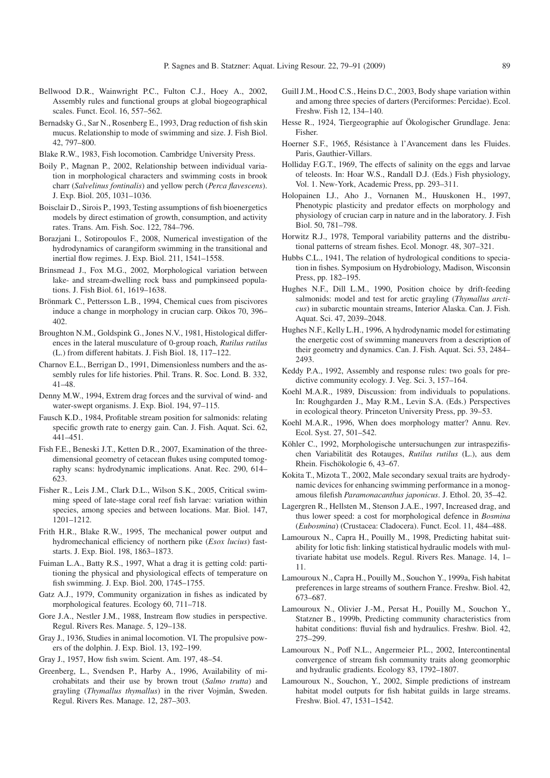- <span id="page-10-27"></span>Bellwood D.R., Wainwright P.C., Fulton C.J., Hoey A., 2002, Assembly rules and functional groups at global biogeographical scales. Funct. Ecol. 16, 557–562.
- <span id="page-10-21"></span>Bernadsky G., Sar N., Rosenberg E., 1993, Drag reduction of fish skin mucus. Relationship to mode of swimming and size. J. Fish Biol. 42, 797–800.
- <span id="page-10-19"></span>Blake R.W., 1983, Fish locomotion. Cambridge University Press.
- <span id="page-10-10"></span>Boily P., Magnan P., 2002, Relationship between individual variation in morphological characters and swimming costs in brook charr (*Salvelinus fontinalis*) and yellow perch (*Perca flavescens*). J. Exp. Biol. 205, 1031–1036.
- <span id="page-10-9"></span>Boisclair D., Sirois P., 1993, Testing assumptions of fish bioenergetics models by direct estimation of growth, consumption, and activity rates. Trans. Am. Fish. Soc. 122, 784–796.
- <span id="page-10-11"></span>Borazjani I., Sotiropoulos F., 2008, Numerical investigation of the hydrodynamics of carangiform swimming in the transitional and inertial flow regimes. J. Exp. Biol. 211, 1541–1558.
- <span id="page-10-7"></span>Brinsmead J., Fox M.G., 2002, Morphological variation between lake- and stream-dwelling rock bass and pumpkinseed populations. J. Fish Biol. 61, 1619–1638.
- <span id="page-10-4"></span>Brönmark C., Pettersson L.B., 1994, Chemical cues from piscivores induce a change in morphology in crucian carp. Oikos 70, 396– 402.
- <span id="page-10-37"></span>Broughton N.M., Goldspink G., Jones N.V., 1981, Histological differences in the lateral musculature of 0-group roach, *Rutilus rutilus* (L.) from different habitats. J. Fish Biol. 18, 117–122.
- <span id="page-10-16"></span>Charnov E.L., Berrigan D., 1991, Dimensionless numbers and the assembly rules for life histories. Phil. Trans. R. Soc. Lond. B. 332, 41–48.
- <span id="page-10-38"></span>Denny M.W., 1994, Extrem drag forces and the survival of wind- and water-swept organisms. J. Exp. Biol. 194, 97–115.
- <span id="page-10-12"></span>Fausch K.D., 1984, Profitable stream position for salmonids: relating specific growth rate to energy gain. Can. J. Fish. Aquat. Sci. 62, 441–451.
- <span id="page-10-18"></span>Fish F.E., Beneski J.T., Ketten D.R., 2007, Examination of the threedimensional geometry of cetacean flukes using computed tomography scans: hydrodynamic implications. Anat. Rec. 290, 614– 623.
- <span id="page-10-30"></span>Fisher R., Leis J.M., Clark D.L., Wilson S.K., 2005, Critical swimming speed of late-stage coral reef fish larvae: variation within species, among species and between locations. Mar. Biol. 147, 1201–1212.
- <span id="page-10-14"></span>Frith H.R., Blake R.W., 1995, The mechanical power output and hydromechanical efficiency of northern pike (*Esox lucius*) faststarts. J. Exp. Biol. 198, 1863–1873.
- <span id="page-10-17"></span>Fuiman L.A., Batty R.S., 1997, What a drag it is getting cold: partitioning the physical and physiological effects of temperature on fish swimming. J. Exp. Biol. 200, 1745–1755.
- <span id="page-10-6"></span>Gatz A.J., 1979, Community organization in fishes as indicated by morphological features. Ecology 60, 711–718.
- <span id="page-10-2"></span>Gore J.A., Nestler J.M., 1988, Instream flow studies in perspective. Regul. Rivers Res. Manage. 5, 129–138.
- <span id="page-10-20"></span>Gray J., 1936, Studies in animal locomotion. VI. The propulsive powers of the dolphin. J. Exp. Biol. 13, 192–199.
- <span id="page-10-24"></span>Gray J., 1957, How fish swim. Scient. Am. 197, 48–54.
- <span id="page-10-23"></span>Greenberg, L., Svendsen P., Harby A., 1996, Availability of microhabitats and their use by brown trout (*Salmo trutta*) and grayling (*Thymallus thymallus*) in the river Vojmån, Sweden. Regul. Rivers Res. Manage. 12, 287–303.
- <span id="page-10-36"></span>Guill J.M., Hood C.S., Heins D.C., 2003, Body shape variation within and among three species of darters (Perciformes: Percidae). Ecol. Freshw. Fish 12, 134–140.
- <span id="page-10-26"></span>Hesse R., 1924, Tiergeographie auf Ökologischer Grundlage. Jena: Fisher.
- <span id="page-10-29"></span>Hoerner S.F., 1965, Résistance à l'Avancement dans les Fluides. Paris, Gauthier-Villars.
- <span id="page-10-3"></span>Holliday F.G.T., 1969, The effects of salinity on the eggs and larvae of teleosts. In: Hoar W.S., Randall D.J. (Eds.) Fish physiology, Vol. 1. New-York, Academic Press, pp. 293–311.
- <span id="page-10-35"></span>Holopainen I.J., Aho J., Vornanen M., Huuskonen H., 1997, Phenotypic plasticity and predator effects on morphology and physiology of crucian carp in nature and in the laboratory. J. Fish Biol. 50, 781–798.
- <span id="page-10-1"></span>Horwitz R.J., 1978, Temporal variability patterns and the distributional patterns of stream fishes. Ecol. Monogr. 48, 307–321.
- <span id="page-10-5"></span>Hubbs C.L., 1941, The relation of hydrological conditions to speciation in fishes. Symposium on Hydrobiology, Madison, Wisconsin Press, pp. 182–195.
- <span id="page-10-13"></span>Hughes N.F., Dill L.M., 1990, Position choice by drift-feeding salmonids: model and test for arctic grayling (*Thymallus arcticus*) in subarctic mountain streams, Interior Alaska. Can. J. Fish. Aquat. Sci. 47, 2039–2048.
- <span id="page-10-15"></span>Hughes N.F., Kelly L.H., 1996, A hydrodynamic model for estimating the energetic cost of swimming maneuvers from a description of their geometry and dynamics. Can. J. Fish. Aquat. Sci. 53, 2484– 2493.
- <span id="page-10-0"></span>Keddy P.A., 1992, Assembly and response rules: two goals for predictive community ecology. J. Veg. Sci. 3, 157–164.
- <span id="page-10-39"></span>Koehl M.A.R., 1989, Discussion: from individuals to populations. In: Roughgarden J., May R.M., Levin S.A. (Eds.) Perspectives in ecological theory. Princeton University Press, pp. 39–53.
- <span id="page-10-34"></span>Koehl M.A.R., 1996, When does morphology matter? Annu. Rev. Ecol. Syst. 27, 501–542.
- <span id="page-10-33"></span>Köhler C., 1992, Morphologische untersuchungen zur intraspezifischen Variabilität des Rotauges, *Rutilus rutilus* (L.), aus dem Rhein. Fischökologie 6, 43–67.
- <span id="page-10-25"></span>Kokita T., Mizota T., 2002, Male secondary sexual traits are hydrodynamic devices for enhancing swimming performance in a monogamous filefish *Paramonacanthus japonicus*. J. Ethol. 20, 35–42.
- <span id="page-10-8"></span>Lagergren R., Hellsten M., Stenson J.A.E., 1997, Increased drag, and thus lower speed: a cost for morphological defence in *Bosmina* (*Eubosmina*) (Crustacea: Cladocera). Funct. Ecol. 11, 484–488.
- <span id="page-10-31"></span>Lamouroux N., Capra H., Pouilly M., 1998, Predicting habitat suitability for lotic fish: linking statistical hydraulic models with multivariate habitat use models. Regul. Rivers Res. Manage. 14, 1– 11.
- <span id="page-10-22"></span>Lamouroux N., Capra H., Pouilly M., Souchon Y., 1999a, Fish habitat preferences in large streams of southern France. Freshw. Biol. 42, 673–687.
- <span id="page-10-32"></span>Lamouroux N., Olivier J.-M., Persat H., Pouilly M., Souchon Y., Statzner B., 1999b, Predicting community characteristics from habitat conditions: fluvial fish and hydraulics. Freshw. Biol. 42, 275–299.
- <span id="page-10-40"></span>Lamouroux N., Poff N.L., Angermeier P.L., 2002, Intercontinental convergence of stream fish community traits along geomorphic and hydraulic gradients. Ecology 83, 1792–1807.
- <span id="page-10-28"></span>Lamouroux N., Souchon, Y., 2002, Simple predictions of instream habitat model outputs for fish habitat guilds in large streams. Freshw. Biol. 47, 1531–1542.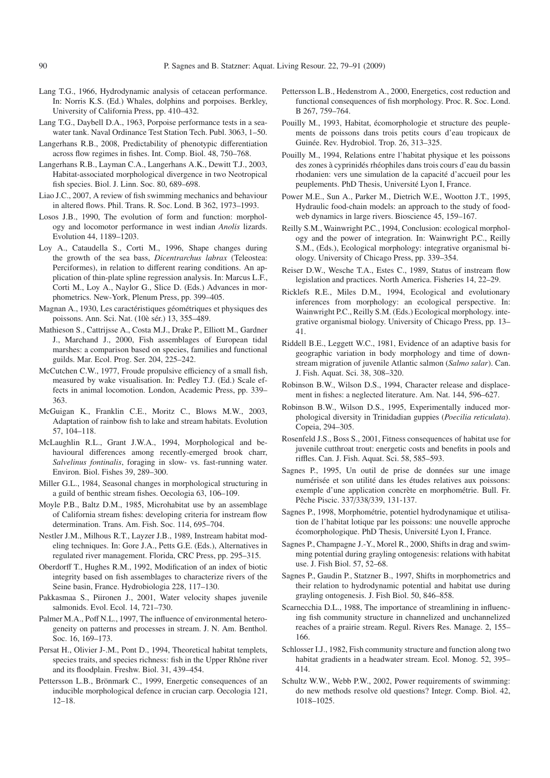- <span id="page-11-20"></span>Lang T.G., 1966, Hydrodynamic analysis of cetacean performance. In: Norris K.S. (Ed.) Whales, dolphins and porpoises. Berkley, University of California Press, pp. 410–432.
- <span id="page-11-26"></span>Lang T.G., Daybell D.A., 1963, Porpoise performance tests in a seawater tank. Naval Ordinance Test Station Tech. Publ. 3063, 1–50.
- <span id="page-11-7"></span>Langerhans R.B., 2008, Predictability of phenotypic differentiation across flow regimes in fishes. Int. Comp. Biol. 48, 750–768.
- <span id="page-11-13"></span>Langerhans R.B., Layman C.A., Langerhans A.K., Dewitt T.J., 2003, Habitat-associated morphological divergence in two Neotropical fish species. Biol. J. Linn. Soc. 80, 689–698.
- <span id="page-11-30"></span>Liao J.C., 2007, A review of fish swimming mechanics and behaviour in altered flows. Phil. Trans. R. Soc. Lond. B 362, 1973–1993.
- <span id="page-11-33"></span>Losos J.B., 1990, The evolution of form and function: morphology and locomotor performance in west indian *Anolis* lizards. Evolution 44, 1189–1203.
- <span id="page-11-34"></span>Loy A., Cataudella S., Corti M., 1996, Shape changes during the growth of the sea bass, *Dicentrarchus labrax* (Teleostea: Perciformes), in relation to different rearing conditions. An application of thin-plate spline regression analysis. In: Marcus L.F., Corti M., Loy A., Naylor G., Slice D. (Eds.) Advances in morphometrics. New-York, Plenum Press, pp. 399–405.
- <span id="page-11-25"></span>Magnan A., 1930, Les caractéristiques géométriques et physiques des poissons. Ann. Sci. Nat. (10è sér.) 13, 355–489.
- <span id="page-11-29"></span>Mathieson S., Cattrijsse A., Costa M.J., Drake P., Elliott M., Gardner J., Marchand J., 2000, Fish assemblages of European tidal marshes: a comparison based on species, families and functional guilds. Mar. Ecol. Prog. Ser. 204, 225–242.
- <span id="page-11-19"></span>McCutchen C.W., 1977, Froude propulsive efficiency of a small fish, measured by wake visualisation. In: Pedley T.J. (Ed.) Scale effects in animal locomotion. London, Academic Press, pp. 339– 363.
- <span id="page-11-36"></span>McGuigan K., Franklin C.E., Moritz C., Blows M.W., 2003, Adaptation of rainbow fish to lake and stream habitats. Evolution 57, 104–118.
- <span id="page-11-11"></span>McLaughlin R.L., Grant J.W.A., 1994, Morphological and behavioural differences among recently-emerged brook charr, *Salvelinus fontinalis*, foraging in slow- vs. fast-running water. Environ. Biol. Fishes 39, 289–300.
- <span id="page-11-28"></span>Miller G.L., 1984, Seasonal changes in morphological structuring in a guild of benthic stream fishes. Oecologia 63, 106–109.
- <span id="page-11-31"></span>Moyle P.B., Baltz D.M., 1985, Microhabitat use by an assemblage of California stream fishes: developing criteria for instream flow determination. Trans. Am. Fish. Soc. 114, 695–704.
- <span id="page-11-3"></span>Nestler J.M., Milhous R.T., Layzer J.B., 1989, Instream habitat modeling techniques. In: Gore J.A., Petts G.E. (Eds.), Alternatives in regulated river management. Florida, CRC Press, pp. 295–315.
- <span id="page-11-5"></span>Oberdorff T., Hughes R.M., 1992, Modification of an index of biotic integrity based on fish assemblages to characterize rivers of the Seine basin, France. Hydrobiologia 228, 117–130.
- <span id="page-11-12"></span>Pakkasmaa S., Piironen J., 2001, Water velocity shapes juvenile salmonids. Evol. Ecol. 14, 721–730.
- <span id="page-11-4"></span>Palmer M.A., Poff N.L., 1997, The influence of environmental heterogeneity on patterns and processes in stream. J. N. Am. Benthol. Soc. 16, 169–173.
- <span id="page-11-6"></span>Persat H., Olivier J-.M., Pont D., 1994, Theoretical habitat templets, species traits, and species richness: fish in the Upper Rhône river and its floodplain. Freshw. Biol. 31, 439–454.
- <span id="page-11-17"></span>Pettersson L.B., Brönmark C., 1999, Energetic consequences of an inducible morphological defence in crucian carp. Oecologia 121, 12–18.
- <span id="page-11-27"></span>Pettersson L.B., Hedenstrom A., 2000, Energetics, cost reduction and functional consequences of fish morphology. Proc. R. Soc. Lond. B 267, 759–764.
- <span id="page-11-10"></span>Pouilly M., 1993, Habitat, écomorphologie et structure des peuplements de poissons dans trois petits cours d'eau tropicaux de Guinée. Rev. Hydrobiol. Trop. 26, 313–325.
- <span id="page-11-23"></span>Pouilly M., 1994, Relations entre l'habitat physique et les poissons des zones à cyprinidés rhéophiles dans trois cours d'eau du bassin rhodanien: vers une simulation de la capacité d'accueil pour les peuplements. PhD Thesis, Université Lyon I, France.
- <span id="page-11-0"></span>Power M.E., Sun A., Parker M., Dietrich W.E., Wootton J.T., 1995, Hydraulic food-chain models: an approach to the study of foodweb dynamics in large rivers. Bioscience 45, 159–167.
- <span id="page-11-37"></span>Reilly S.M., Wainwright P.C., 1994, Conclusion: ecological morphology and the power of integration. In: Wainwright P.C., Reilly S.M., (Eds.), Ecological morphology: integrative organismal biology. University of Chicago Press, pp. 339–354.
- <span id="page-11-1"></span>Reiser D.W., Wesche T.A., Estes C., 1989, Status of instream flow legislation and practices. North America. Fisheries 14, 22–29.
- <span id="page-11-14"></span>Ricklefs R.E., Miles D.M., 1994, Ecological and evolutionary inferences from morphology: an ecological perspective. In: Wainwright P.C., Reilly S.M. (Eds.) Ecological morphology. integrative organismal biology. University of Chicago Press, pp. 13– 41.
- <span id="page-11-32"></span>Riddell B.E., Leggett W.C., 1981, Evidence of an adaptive basis for geographic variation in body morphology and time of downstream migration of juvenile Atlantic salmon (*Salmo salar*). Can. J. Fish. Aquat. Sci. 38, 308–320.
- <span id="page-11-35"></span>Robinson B.W., Wilson D.S., 1994, Character release and displacement in fishes: a neglected literature. Am. Nat. 144, 596–627.
- <span id="page-11-8"></span>Robinson B.W., Wilson D.S., 1995, Experimentally induced morphological diversity in Trinidadian guppies (*Poecilia reticulata*). Copeia, 294–305.
- <span id="page-11-18"></span>Rosenfeld J.S., Boss S., 2001, Fitness consequences of habitat use for juvenile cutthroat trout: energetic costs and benefits in pools and riffles. Can. J. Fish. Aquat. Sci. 58, 585–593.
- <span id="page-11-22"></span>Sagnes P., 1995, Un outil de prise de données sur une image numérisée et son utilité dans les études relatives aux poissons: exemple d'une application concrète en morphométrie. Bull. Fr. Pêche Piscic. 337/338/339, 131-137.
- <span id="page-11-21"></span>Sagnes P., 1998, Morphométrie, potentiel hydrodynamique et utilisation de l'habitat lotique par les poissons: une nouvelle approche écomorphologique. PhD Thesis, Université Lyon I, France.
- <span id="page-11-16"></span>Sagnes P., Champagne J.-Y., Morel R., 2000, Shifts in drag and swimming potential during grayling ontogenesis: relations with habitat use. J. Fish Biol. 57, 52–68.
- <span id="page-11-15"></span>Sagnes P., Gaudin P., Statzner B., 1997, Shifts in morphometrics and their relation to hydrodynamic potential and habitat use during grayling ontogenesis. J. Fish Biol. 50, 846–858.
- <span id="page-11-9"></span>Scarnecchia D.L., 1988, The importance of streamlining in influencing fish community structure in channelized and unchannelized reaches of a prairie stream. Regul. Rivers Res. Manage. 2, 155– 166.
- <span id="page-11-2"></span>Schlosser I.J., 1982, Fish community structure and function along two habitat gradients in a headwater stream. Ecol. Monog. 52, 395– 414.
- <span id="page-11-24"></span>Schultz W.W., Webb P.W., 2002, Power requirements of swimming: do new methods resolve old questions? Integr. Comp. Biol. 42, 1018–1025.